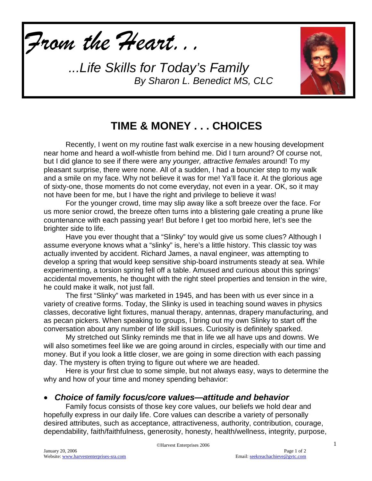

*...Life Skills for Today's Family By Sharon L. Benedict MS, CLC*



## **TIME & MONEY . . . CHOICES**

Recently, I went on my routine fast walk exercise in a new housing development near home and heard a wolf-whistle from behind me. Did I turn around? Of course not, but I did glance to see if there were any *younger, attractive females* around! To my pleasant surprise, there were none. All of a sudden, I had a bouncier step to my walk and a smile on my face. Why not believe it was for me! Ya'll face it. At the glorious age of sixty-one, those moments do not come everyday, not even in a year. OK, so it may not have been for me, but I have the right and privilege to believe it was!

For the younger crowd, time may slip away like a soft breeze over the face. For us more senior crowd, the breeze often turns into a blistering gale creating a prune like countenance with each passing year! But before I get too morbid here, let's see the brighter side to life.

Have you ever thought that a "Slinky" toy would give us some clues? Although I assume everyone knows what a "slinky" is, here's a little history. This classic toy was actually invented by accident. Richard James, a naval engineer, was attempting to develop a spring that would keep sensitive ship-board instruments steady at sea. While experimenting, a torsion spring fell off a table. Amused and curious about this springs' accidental movements, he thought with the right steel properties and tension in the wire, he could make it walk, not just fall.

The first "Slinky" was marketed in 1945, and has been with us ever since in a variety of creative forms. Today, the Slinky is used in teaching sound waves in physics classes, decorative light fixtures, manual therapy, antennas, drapery manufacturing, and as pecan pickers. When speaking to groups, I bring out my own Slinky to start off the conversation about any number of life skill issues. Curiosity is definitely sparked.

My stretched out Slinky reminds me that in life we all have ups and downs. We will also sometimes feel like we are going around in circles, especially with our time and money. But if you look a little closer, we are going in some direction with each passing day. The mystery is often trying to figure out where we are headed.

Here is your first clue to some simple, but not always easy, ways to determine the why and how of your time and money spending behavior:

### • *Choice of family focus/core values—attitude and behavior*

Family focus consists of those key core values, our beliefs we hold dear and hopefully express in our daily life. Core values can describe a variety of personally desired attributes, such as acceptance, attractiveness, authority, contribution, courage, dependability, faith/faithfulness, generosity, honesty, health/wellness, integrity, purpose,

1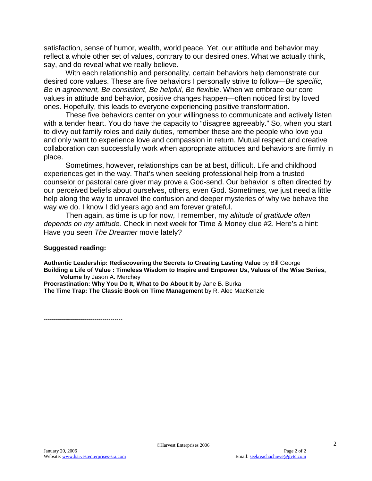satisfaction, sense of humor, wealth, world peace. Yet, our attitude and behavior may reflect a whole other set of values, contrary to our desired ones. What we actually think, say, and do reveal what we really believe.

With each relationship and personality, certain behaviors help demonstrate our desired core values. These are five behaviors I personally strive to follow—*Be specific, Be in agreement, Be consistent, Be helpful, Be flexible*. When we embrace our core values in attitude and behavior, positive changes happen—often noticed first by loved ones. Hopefully, this leads to everyone experiencing positive transformation.

These five behaviors center on your willingness to communicate and actively listen with a tender heart. You do have the capacity to "disagree agreeably." So, when you start to divvy out family roles and daily duties, remember these are the people who love you and only want to experience love and compassion in return. Mutual respect and creative collaboration can successfully work when appropriate attitudes and behaviors are firmly in place.

Sometimes, however, relationships can be at best, difficult. Life and childhood experiences get in the way. That's when seeking professional help from a trusted counselor or pastoral care giver may prove a God-send. Our behavior is often directed by our perceived beliefs about ourselves, others, even God. Sometimes, we just need a little help along the way to unravel the confusion and deeper mysteries of why we behave the way we do. I know I did years ago and am forever grateful.

Then again, as time is up for now, I remember, my *altitude of gratitude often depends on my attitude.* Check in next week for Time & Money clue #2. Here's a hint: Have you seen *The Dreamer* movie lately?

#### **Suggested reading:**

**Authentic Leadership: Rediscovering the Secrets to Creating Lasting Value** by Bill George **Building a Life of Value : Timeless Wisdom to Inspire and Empower Us, Values of the Wise Series, Volume** by Jason A. Merchey

Procrastination: Why You Do It, What to Do About It by Jane B. Burka **The Time Trap: The Classic Book on Time Management** by R. Alec MacKenzie

---------------------------------------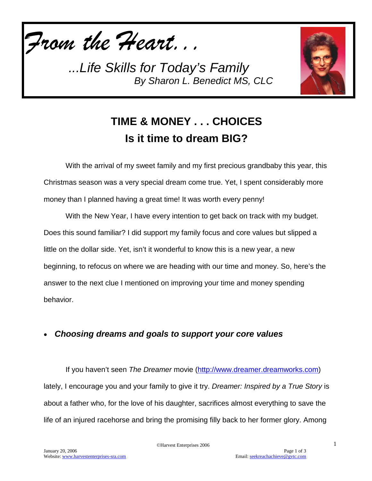

*...Life Skills for Today's Family By Sharon L. Benedict MS, CLC*



# **TIME & MONEY . . . CHOICES Is it time to dream BIG?**

With the arrival of my sweet family and my first precious grandbaby this year, this Christmas season was a very special dream come true. Yet, I spent considerably more money than I planned having a great time! It was worth every penny!

With the New Year, I have every intention to get back on track with my budget. Does this sound familiar? I did support my family focus and core values but slipped a little on the dollar side. Yet, isn't it wonderful to know this is a new year, a new beginning, to refocus on where we are heading with our time and money. So, here's the answer to the next clue I mentioned on improving your time and money spending behavior.

### • *Choosing dreams and goals to support your core values*

If you haven't seen *The Dreamer* movie [\(http://www.dreamer.dreamworks.com\)](http://www.dreamer.dreamworks.com/) lately, I encourage you and your family to give it try. *Dreamer: Inspired by a True Story* is about a father who, for the love of his daughter, sacrifices almost everything to save the life of an injured racehorse and bring the promising filly back to her former glory. Among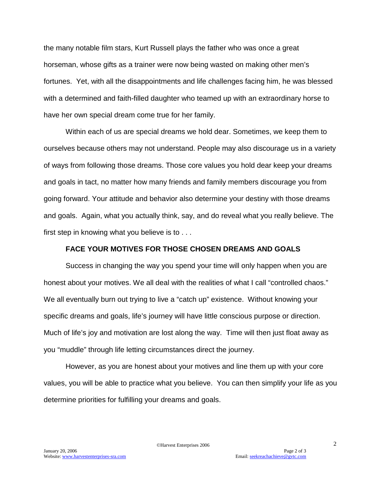the many notable film stars, Kurt Russell plays the father who was once a great horseman, whose gifts as a trainer were now being wasted on making other men's fortunes. Yet, with all the disappointments and life challenges facing him, he was blessed with a determined and faith-filled daughter who teamed up with an extraordinary horse to have her own special dream come true for her family.

Within each of us are special dreams we hold dear. Sometimes, we keep them to ourselves because others may not understand. People may also discourage us in a variety of ways from following those dreams. Those core values you hold dear keep your dreams and goals in tact, no matter how many friends and family members discourage you from going forward. Your attitude and behavior also determine your destiny with those dreams and goals. Again, what you actually think, say, and do reveal what you really believe. The first step in knowing what you believe is to . . .

### **FACE YOUR MOTIVES FOR THOSE CHOSEN DREAMS AND GOALS**

Success in changing the way you spend your time will only happen when you are honest about your motives. We all deal with the realities of what I call "controlled chaos." We all eventually burn out trying to live a "catch up" existence. Without knowing your specific dreams and goals, life's journey will have little conscious purpose or direction. Much of life's joy and motivation are lost along the way. Time will then just float away as you "muddle" through life letting circumstances direct the journey.

However, as you are honest about your motives and line them up with your core values, you will be able to practice what you believe. You can then simplify your life as you determine priorities for fulfilling your dreams and goals.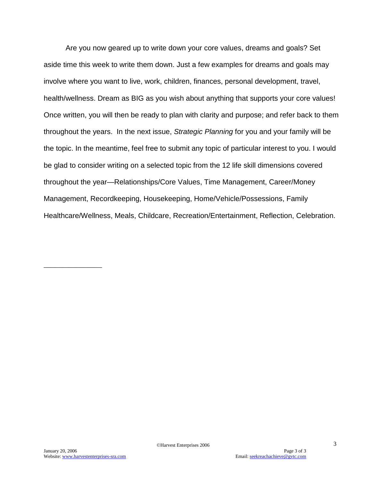Are you now geared up to write down your core values, dreams and goals? Set aside time this week to write them down. Just a few examples for dreams and goals may involve where you want to live, work, children, finances, personal development, travel, health/wellness. Dream as BIG as you wish about anything that supports your core values! Once written, you will then be ready to plan with clarity and purpose; and refer back to them throughout the years. In the next issue, *Strategic Planning* for you and your family will be the topic. In the meantime, feel free to submit any topic of particular interest to you. I would be glad to consider writing on a selected topic from the 12 life skill dimensions covered throughout the year—Relationships/Core Values, Time Management, Career/Money Management, Recordkeeping, Housekeeping, Home/Vehicle/Possessions, Family Healthcare/Wellness, Meals, Childcare, Recreation/Entertainment, Reflection, Celebration.

\_\_\_\_\_\_\_\_\_\_\_\_\_\_\_\_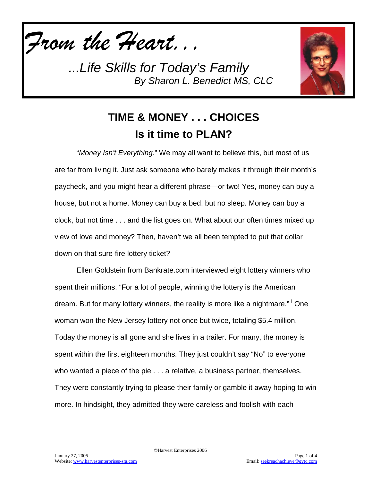

*...Life Skills for Today's Family By Sharon L. Benedict MS, CLC*



## **TIME & MONEY . . . CHOICES Is it time to PLAN?**

"*Money Isn't Everything*." We may all want to believe this, but most of us are far from living it. Just ask someone who barely makes it through their month's paycheck, and you might hear a different phrase—or two! Yes, money can buy a house, but not a home. Money can buy a bed, but no sleep. Money can buy a clock, but not time . . . and the list goes on. What about our often times mixed up view of love and money? Then, haven't we all been tempted to put that dollar down on that sure-fire lottery ticket?

Ellen Goldstein from Bankrate.com interviewed eight lottery winners who spent their millions. "For a lot of people, winning the lottery is the American dream. But for many lottery winners, the reality is more like a nightmare." <sup>i</sup> One woman won the New Jersey lottery not once but twice, totaling \$5.4 million. Today the money is all gone and she lives in a trailer. For many, the money is spent within the first eighteen months. They just couldn't say "No" to everyone who wanted a piece of the pie . . . a relative, a business partner, themselves. They were constantly trying to please their family or gamble it away hoping to win more. In hindsight, they admitted they were careless and foolish with each

©Harvest Enterprises 2006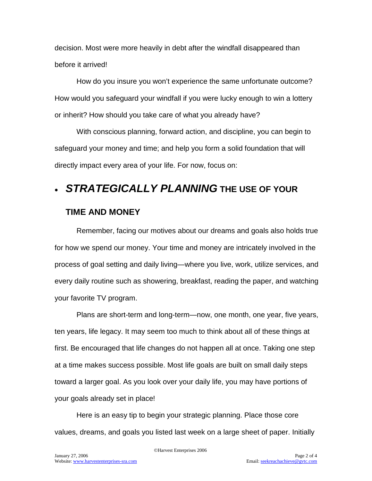decision. Most were more heavily in debt after the windfall disappeared than before it arrived!

How do you insure you won't experience the same unfortunate outcome? How would you safeguard your windfall if you were lucky enough to win a lottery or inherit? How should you take care of what you already have?

With conscious planning, forward action, and discipline, you can begin to safeguard your money and time; and help you form a solid foundation that will directly impact every area of your life. For now, focus on:

## • *STRATEGICALLY PLANNING* **THE USE OF YOUR**

### **TIME AND MONEY**

Remember, facing our motives about our dreams and goals also holds true for how we spend our money. Your time and money are intricately involved in the process of goal setting and daily living—where you live, work, utilize services, and every daily routine such as showering, breakfast, reading the paper, and watching your favorite TV program.

Plans are short-term and long-term—now, one month, one year, five years, ten years, life legacy. It may seem too much to think about all of these things at first. Be encouraged that life changes do not happen all at once. Taking one step at a time makes success possible. Most life goals are built on small daily steps toward a larger goal. As you look over your daily life, you may have portions of your goals already set in place!

Here is an easy tip to begin your strategic planning. Place those core values, dreams, and goals you listed last week on a large sheet of paper. Initially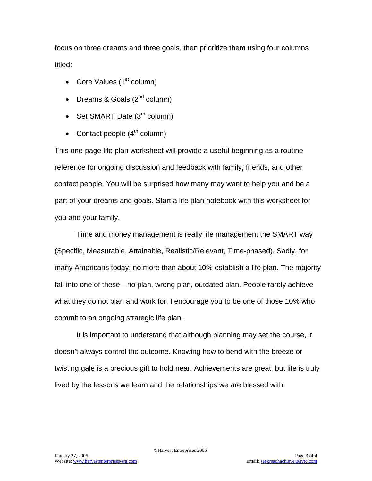focus on three dreams and three goals, then prioritize them using four columns titled:

- Core Values  $(1<sup>st</sup>$  column)
- Dreams & Goals  $(2^{nd}$  column)
- Set SMART Date  $(3<sup>rd</sup>$  column)
- Contact people  $(4<sup>th</sup>$  column)

This one-page life plan worksheet will provide a useful beginning as a routine reference for ongoing discussion and feedback with family, friends, and other contact people. You will be surprised how many may want to help you and be a part of your dreams and goals. Start a life plan notebook with this worksheet for you and your family.

Time and money management is really life management the SMART way (Specific, Measurable, Attainable, Realistic/Relevant, Time-phased). Sadly, for many Americans today, no more than about 10% establish a life plan. The majority fall into one of these—no plan, wrong plan, outdated plan. People rarely achieve what they do not plan and work for. I encourage you to be one of those 10% who commit to an ongoing strategic life plan.

It is important to understand that although planning may set the course, it doesn't always control the outcome. Knowing how to bend with the breeze or twisting gale is a precious gift to hold near. Achievements are great, but life is truly lived by the lessons we learn and the relationships we are blessed with.